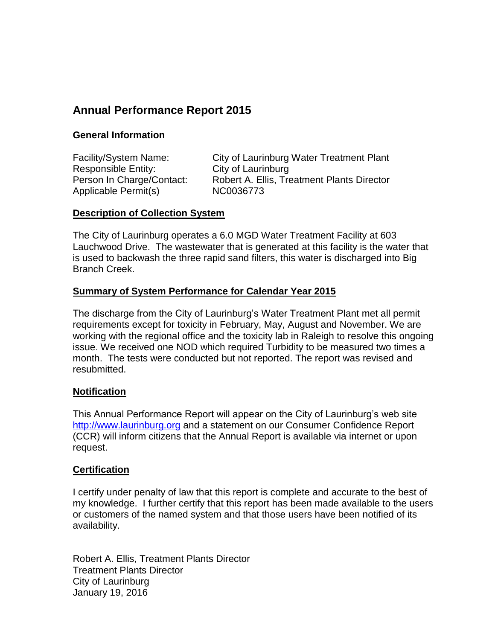# **Annual Performance Report 2015**

#### **General Information**

Responsible Entity: City of Laurinburg Applicable Permit(s) NC0036773

Facility/System Name: City of Laurinburg Water Treatment Plant Person In Charge/Contact: Robert A. Ellis, Treatment Plants Director

#### **Description of Collection System**

The City of Laurinburg operates a 6.0 MGD Water Treatment Facility at 603 Lauchwood Drive. The wastewater that is generated at this facility is the water that is used to backwash the three rapid sand filters, this water is discharged into Big Branch Creek.

#### **Summary of System Performance for Calendar Year 2015**

The discharge from the City of Laurinburg's Water Treatment Plant met all permit requirements except for toxicity in February, May, August and November. We are working with the regional office and the toxicity lab in Raleigh to resolve this ongoing issue. We received one NOD which required Turbidity to be measured two times a month. The tests were conducted but not reported. The report was revised and resubmitted.

#### **Notification**

This Annual Performance Report will appear on the City of Laurinburg's web site [http://www.laurinburg.org](http://www.laurinburg.org/) and a statement on our Consumer Confidence Report (CCR) will inform citizens that the Annual Report is available via internet or upon request.

#### **Certification**

I certify under penalty of law that this report is complete and accurate to the best of my knowledge. I further certify that this report has been made available to the users or customers of the named system and that those users have been notified of its availability.

Robert A. Ellis, Treatment Plants Director Treatment Plants Director City of Laurinburg January 19, 2016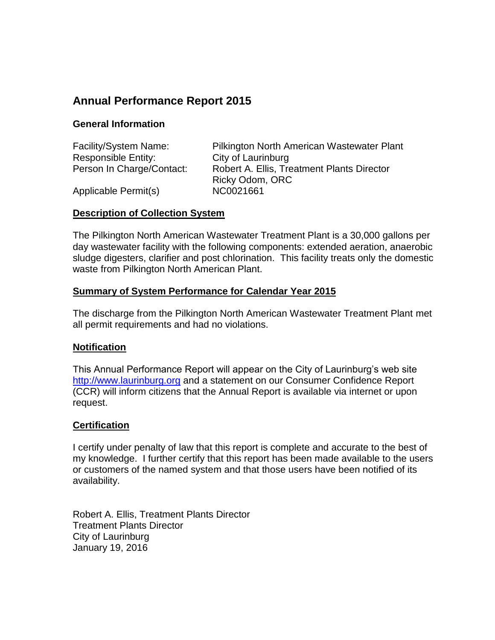## **Annual Performance Report 2015**

#### **General Information**

| Facility/System Name:     | Pilkington North American Wastewater Plant |
|---------------------------|--------------------------------------------|
| Responsible Entity:       | City of Laurinburg                         |
| Person In Charge/Contact: | Robert A. Ellis, Treatment Plants Director |
|                           | Ricky Odom, ORC                            |
| Applicable Permit(s)      | NC0021661                                  |

#### **Description of Collection System**

The Pilkington North American Wastewater Treatment Plant is a 30,000 gallons per day wastewater facility with the following components: extended aeration, anaerobic sludge digesters, clarifier and post chlorination. This facility treats only the domestic waste from Pilkington North American Plant.

#### **Summary of System Performance for Calendar Year 2015**

The discharge from the Pilkington North American Wastewater Treatment Plant met all permit requirements and had no violations.

#### **Notification**

This Annual Performance Report will appear on the City of Laurinburg's web site [http://www.laurinburg.org](http://www.laurinburg.org/) and a statement on our Consumer Confidence Report (CCR) will inform citizens that the Annual Report is available via internet or upon request.

#### **Certification**

I certify under penalty of law that this report is complete and accurate to the best of my knowledge. I further certify that this report has been made available to the users or customers of the named system and that those users have been notified of its availability.

Robert A. Ellis, Treatment Plants Director Treatment Plants Director City of Laurinburg January 19, 2016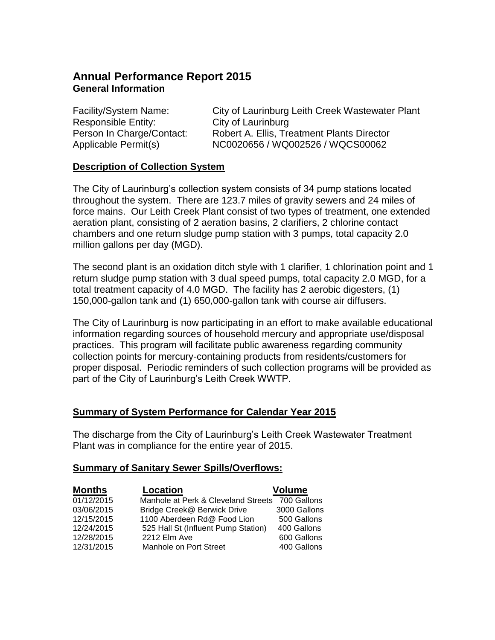### **Annual Performance Report 2015 General Information**

Responsible Entity: City of Laurinburg

Facility/System Name: City of Laurinburg Leith Creek Wastewater Plant Person In Charge/Contact: Robert A. Ellis, Treatment Plants Director Applicable Permit(s) NC0020656 / WQ002526 / WQCS00062

#### **Description of Collection System**

The City of Laurinburg's collection system consists of 34 pump stations located throughout the system. There are 123.7 miles of gravity sewers and 24 miles of force mains. Our Leith Creek Plant consist of two types of treatment, one extended aeration plant, consisting of 2 aeration basins, 2 clarifiers, 2 chlorine contact chambers and one return sludge pump station with 3 pumps, total capacity 2.0 million gallons per day (MGD).

The second plant is an oxidation ditch style with 1 clarifier, 1 chlorination point and 1 return sludge pump station with 3 dual speed pumps, total capacity 2.0 MGD, for a total treatment capacity of 4.0 MGD. The facility has 2 aerobic digesters, (1) 150,000-gallon tank and (1) 650,000-gallon tank with course air diffusers.

The City of Laurinburg is now participating in an effort to make available educational information regarding sources of household mercury and appropriate use/disposal practices. This program will facilitate public awareness regarding community collection points for mercury-containing products from residents/customers for proper disposal. Periodic reminders of such collection programs will be provided as part of the City of Laurinburg's Leith Creek WWTP.

#### **Summary of System Performance for Calendar Year 2015**

The discharge from the City of Laurinburg's Leith Creek Wastewater Treatment Plant was in compliance for the entire year of 2015.

#### **Summary of Sanitary Sewer Spills/Overflows:**

| <b>Months</b> | <b>Location</b>                     | <b>Volume</b> |
|---------------|-------------------------------------|---------------|
| 01/12/2015    | Manhole at Perk & Cleveland Streets | 700 Gallons   |
| 03/06/2015    | Bridge Creek@ Berwick Drive         | 3000 Gallons  |
| 12/15/2015    | 1100 Aberdeen Rd@ Food Lion         | 500 Gallons   |
| 12/24/2015    | 525 Hall St (Influent Pump Station) | 400 Gallons   |
| 12/28/2015    | 2212 Elm Ave                        | 600 Gallons   |
| 12/31/2015    | Manhole on Port Street              | 400 Gallons   |